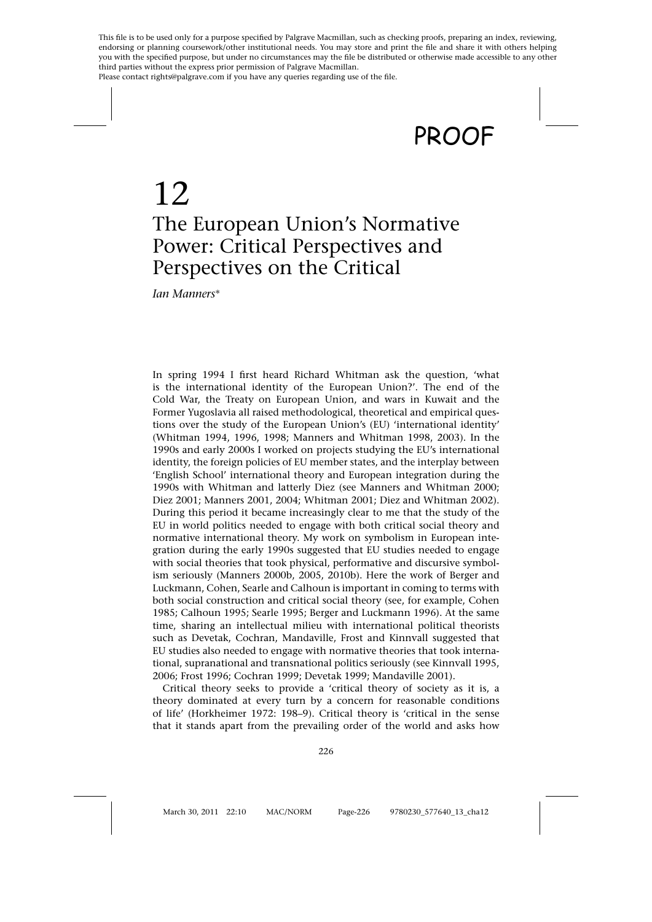This file is to be used only for a purpose specified by Palgrave Macmillan, such as checking proofs, preparing an index, reviewing, endorsing or planning coursework/other institutional needs. You may store and print the file and share it with others helping you with the specified purpose, but under no circumstances may the file be distributed or otherwise made accessible to any other third parties without the express prior permission of Palgrave Macmillan.

Please contact rights@palgrave.com if you have any queries regarding use of the file.

# PROOF

## 12 The European Union's Normative Power: Critical Perspectives and Perspectives on the Critical

*Ian Manners*∗

In spring 1994 I first heard Richard Whitman ask the question, 'what is the international identity of the European Union?'. The end of the Cold War, the Treaty on European Union, and wars in Kuwait and the Former Yugoslavia all raised methodological, theoretical and empirical questions over the study of the European Union's (EU) 'international identity' (Whitman 1994, 1996, 1998; Manners and Whitman 1998, 2003). In the 1990s and early 2000s I worked on projects studying the EU's international identity, the foreign policies of EU member states, and the interplay between 'English School' international theory and European integration during the 1990s with Whitman and latterly Diez (see Manners and Whitman 2000; Diez 2001; Manners 2001, 2004; Whitman 2001; Diez and Whitman 2002). During this period it became increasingly clear to me that the study of the EU in world politics needed to engage with both critical social theory and normative international theory. My work on symbolism in European integration during the early 1990s suggested that EU studies needed to engage with social theories that took physical, performative and discursive symbolism seriously (Manners 2000b, 2005, 2010b). Here the work of Berger and Luckmann, Cohen, Searle and Calhoun is important in coming to terms with both social construction and critical social theory (see, for example, Cohen 1985; Calhoun 1995; Searle 1995; Berger and Luckmann 1996). At the same time, sharing an intellectual milieu with international political theorists such as Devetak, Cochran, Mandaville, Frost and Kinnvall suggested that EU studies also needed to engage with normative theories that took international, supranational and transnational politics seriously (see Kinnvall 1995, 2006; Frost 1996; Cochran 1999; Devetak 1999; Mandaville 2001).

Critical theory seeks to provide a 'critical theory of society as it is, a theory dominated at every turn by a concern for reasonable conditions of life' (Horkheimer 1972: 198–9). Critical theory is 'critical in the sense that it stands apart from the prevailing order of the world and asks how

March 30, 2011 22:10 MAC/NORM Page-226 9780230\_577640\_13\_cha12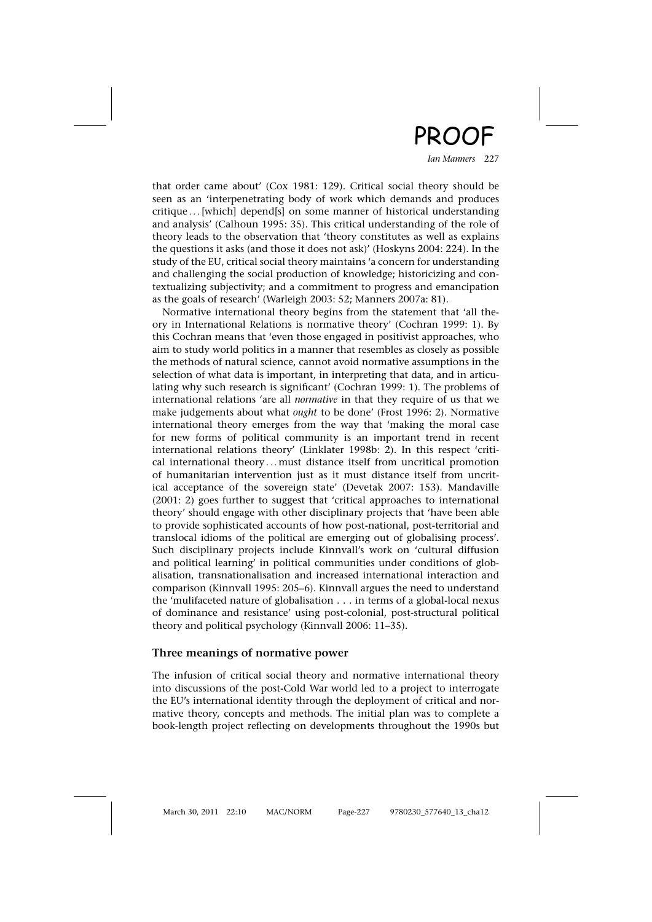*Ian Manners* 227

that order came about' (Cox 1981: 129). Critical social theory should be seen as an 'interpenetrating body of work which demands and produces critique *...* [which] depend[s] on some manner of historical understanding and analysis' (Calhoun 1995: 35). This critical understanding of the role of theory leads to the observation that 'theory constitutes as well as explains the questions it asks (and those it does not ask)' (Hoskyns 2004: 224). In the study of the EU, critical social theory maintains 'a concern for understanding and challenging the social production of knowledge; historicizing and contextualizing subjectivity; and a commitment to progress and emancipation as the goals of research' (Warleigh 2003: 52; Manners 2007a: 81).

Normative international theory begins from the statement that 'all theory in International Relations is normative theory' (Cochran 1999: 1). By this Cochran means that 'even those engaged in positivist approaches, who aim to study world politics in a manner that resembles as closely as possible the methods of natural science, cannot avoid normative assumptions in the selection of what data is important, in interpreting that data, and in articulating why such research is significant' (Cochran 1999: 1). The problems of international relations 'are all *normative* in that they require of us that we make judgements about what *ought* to be done' (Frost 1996: 2). Normative international theory emerges from the way that 'making the moral case for new forms of political community is an important trend in recent international relations theory' (Linklater 1998b: 2). In this respect 'critical international theory *...* must distance itself from uncritical promotion of humanitarian intervention just as it must distance itself from uncritical acceptance of the sovereign state' (Devetak 2007: 153). Mandaville (2001: 2) goes further to suggest that 'critical approaches to international theory' should engage with other disciplinary projects that 'have been able to provide sophisticated accounts of how post-national, post-territorial and translocal idioms of the political are emerging out of globalising process'. Such disciplinary projects include Kinnvall's work on 'cultural diffusion and political learning' in political communities under conditions of globalisation, transnationalisation and increased international interaction and comparison (Kinnvall 1995: 205–6). Kinnvall argues the need to understand the 'mulifaceted nature of globalisation . . . in terms of a global-local nexus of dominance and resistance' using post-colonial, post-structural political theory and political psychology (Kinnvall 2006: 11–35).

### **Three meanings of normative power**

The infusion of critical social theory and normative international theory into discussions of the post-Cold War world led to a project to interrogate the EU's international identity through the deployment of critical and normative theory, concepts and methods. The initial plan was to complete a book-length project reflecting on developments throughout the 1990s but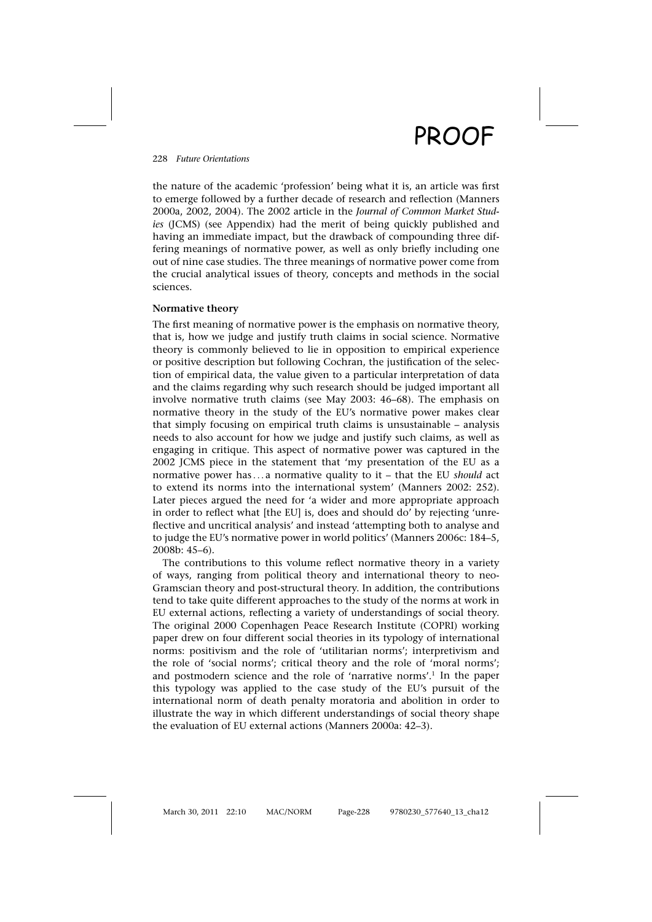#### 228 *Future Orientations*

the nature of the academic 'profession' being what it is, an article was first to emerge followed by a further decade of research and reflection (Manners 2000a, 2002, 2004). The 2002 article in the *Journal of Common Market Studies* (JCMS) (see Appendix) had the merit of being quickly published and having an immediate impact, but the drawback of compounding three differing meanings of normative power, as well as only briefly including one out of nine case studies. The three meanings of normative power come from the crucial analytical issues of theory, concepts and methods in the social sciences.

### **Normative theory**

The first meaning of normative power is the emphasis on normative theory, that is, how we judge and justify truth claims in social science. Normative theory is commonly believed to lie in opposition to empirical experience or positive description but following Cochran, the justification of the selection of empirical data, the value given to a particular interpretation of data and the claims regarding why such research should be judged important all involve normative truth claims (see May 2003: 46–68). The emphasis on normative theory in the study of the EU's normative power makes clear that simply focusing on empirical truth claims is unsustainable – analysis needs to also account for how we judge and justify such claims, as well as engaging in critique. This aspect of normative power was captured in the 2002 JCMS piece in the statement that 'my presentation of the EU as a normative power has *...* a normative quality to it – that the EU *should* act to extend its norms into the international system' (Manners 2002: 252). Later pieces argued the need for 'a wider and more appropriate approach in order to reflect what [the EU] is, does and should do' by rejecting 'unreflective and uncritical analysis' and instead 'attempting both to analyse and to judge the EU's normative power in world politics' (Manners 2006c: 184–5, 2008b: 45–6).

The contributions to this volume reflect normative theory in a variety of ways, ranging from political theory and international theory to neo-Gramscian theory and post-structural theory. In addition, the contributions tend to take quite different approaches to the study of the norms at work in EU external actions, reflecting a variety of understandings of social theory. The original 2000 Copenhagen Peace Research Institute (COPRI) working paper drew on four different social theories in its typology of international norms: positivism and the role of 'utilitarian norms'; interpretivism and the role of 'social norms'; critical theory and the role of 'moral norms'; and postmodern science and the role of 'narrative norms'.1 In the paper this typology was applied to the case study of the EU's pursuit of the international norm of death penalty moratoria and abolition in order to illustrate the way in which different understandings of social theory shape the evaluation of EU external actions (Manners 2000a: 42–3).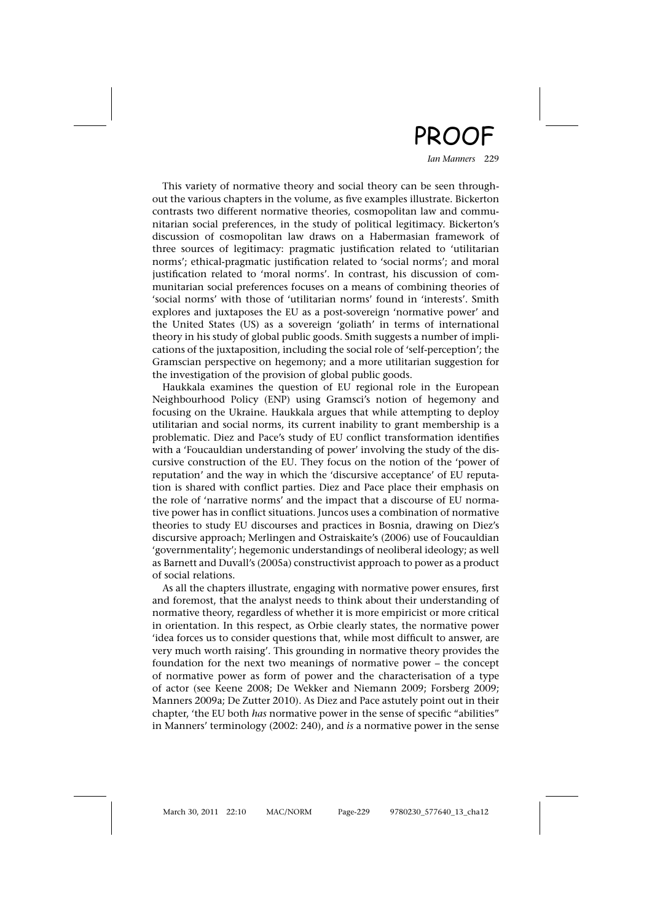*Ian Manners* 229

This variety of normative theory and social theory can be seen throughout the various chapters in the volume, as five examples illustrate. Bickerton contrasts two different normative theories, cosmopolitan law and communitarian social preferences, in the study of political legitimacy. Bickerton's discussion of cosmopolitan law draws on a Habermasian framework of three sources of legitimacy: pragmatic justification related to 'utilitarian norms'; ethical-pragmatic justification related to 'social norms'; and moral justification related to 'moral norms'. In contrast, his discussion of communitarian social preferences focuses on a means of combining theories of 'social norms' with those of 'utilitarian norms' found in 'interests'. Smith explores and juxtaposes the EU as a post-sovereign 'normative power' and the United States (US) as a sovereign 'goliath' in terms of international theory in his study of global public goods. Smith suggests a number of implications of the juxtaposition, including the social role of 'self-perception'; the Gramscian perspective on hegemony; and a more utilitarian suggestion for the investigation of the provision of global public goods.

Haukkala examines the question of EU regional role in the European Neighbourhood Policy (ENP) using Gramsci's notion of hegemony and focusing on the Ukraine. Haukkala argues that while attempting to deploy utilitarian and social norms, its current inability to grant membership is a problematic. Diez and Pace's study of EU conflict transformation identifies with a 'Foucauldian understanding of power' involving the study of the discursive construction of the EU. They focus on the notion of the 'power of reputation' and the way in which the 'discursive acceptance' of EU reputation is shared with conflict parties. Diez and Pace place their emphasis on the role of 'narrative norms' and the impact that a discourse of EU normative power has in conflict situations. Juncos uses a combination of normative theories to study EU discourses and practices in Bosnia, drawing on Diez's discursive approach; Merlingen and Ostraiskaite's (2006) use of Foucauldian 'governmentality'; hegemonic understandings of neoliberal ideology; as well as Barnett and Duvall's (2005a) constructivist approach to power as a product of social relations.

As all the chapters illustrate, engaging with normative power ensures, first and foremost, that the analyst needs to think about their understanding of normative theory, regardless of whether it is more empiricist or more critical in orientation. In this respect, as Orbie clearly states, the normative power 'idea forces us to consider questions that, while most difficult to answer, are very much worth raising'. This grounding in normative theory provides the foundation for the next two meanings of normative power – the concept of normative power as form of power and the characterisation of a type of actor (see Keene 2008; De Wekker and Niemann 2009; Forsberg 2009; Manners 2009a; De Zutter 2010). As Diez and Pace astutely point out in their chapter, 'the EU both *has* normative power in the sense of specific "abilities" in Manners' terminology (2002: 240), and *is* a normative power in the sense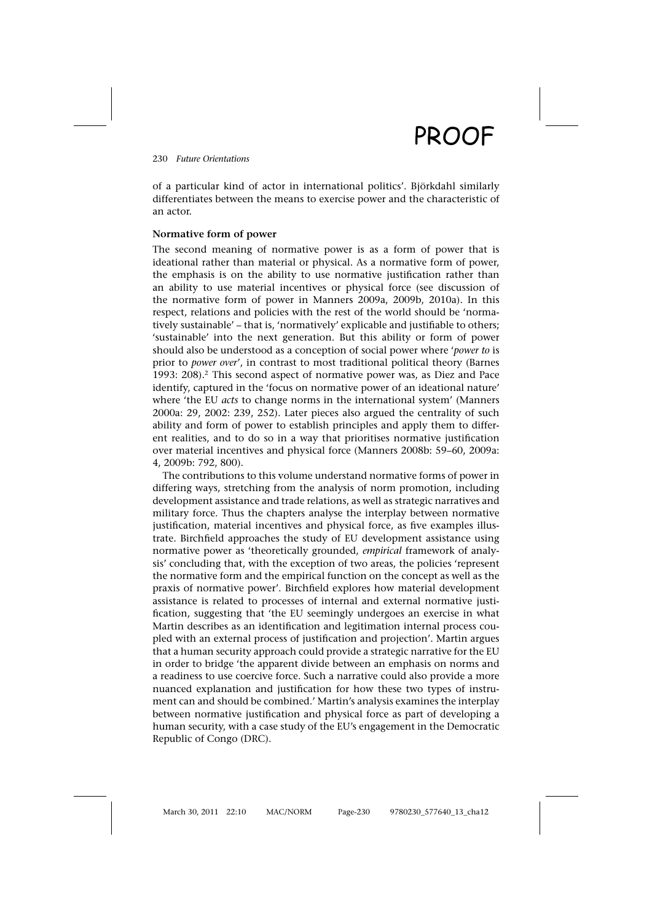#### 230 *Future Orientations*

of a particular kind of actor in international politics'. Björkdahl similarly differentiates between the means to exercise power and the characteristic of an actor.

### **Normative form of power**

The second meaning of normative power is as a form of power that is ideational rather than material or physical. As a normative form of power, the emphasis is on the ability to use normative justification rather than an ability to use material incentives or physical force (see discussion of the normative form of power in Manners 2009a, 2009b, 2010a). In this respect, relations and policies with the rest of the world should be 'normatively sustainable' – that is, 'normatively' explicable and justifiable to others; 'sustainable' into the next generation. But this ability or form of power should also be understood as a conception of social power where '*power to* is prior to *power over*', in contrast to most traditional political theory (Barnes 1993: 208).2 This second aspect of normative power was, as Diez and Pace identify, captured in the 'focus on normative power of an ideational nature' where 'the EU *acts* to change norms in the international system' (Manners 2000a: 29, 2002: 239, 252). Later pieces also argued the centrality of such ability and form of power to establish principles and apply them to different realities, and to do so in a way that prioritises normative justification over material incentives and physical force (Manners 2008b: 59–60, 2009a: 4, 2009b: 792, 800).

The contributions to this volume understand normative forms of power in differing ways, stretching from the analysis of norm promotion, including development assistance and trade relations, as well as strategic narratives and military force. Thus the chapters analyse the interplay between normative justification, material incentives and physical force, as five examples illustrate. Birchfield approaches the study of EU development assistance using normative power as 'theoretically grounded, *empirical* framework of analysis' concluding that, with the exception of two areas, the policies 'represent the normative form and the empirical function on the concept as well as the praxis of normative power'. Birchfield explores how material development assistance is related to processes of internal and external normative justification, suggesting that 'the EU seemingly undergoes an exercise in what Martin describes as an identification and legitimation internal process coupled with an external process of justification and projection'. Martin argues that a human security approach could provide a strategic narrative for the EU in order to bridge 'the apparent divide between an emphasis on norms and a readiness to use coercive force. Such a narrative could also provide a more nuanced explanation and justification for how these two types of instrument can and should be combined.' Martin's analysis examines the interplay between normative justification and physical force as part of developing a human security, with a case study of the EU's engagement in the Democratic Republic of Congo (DRC).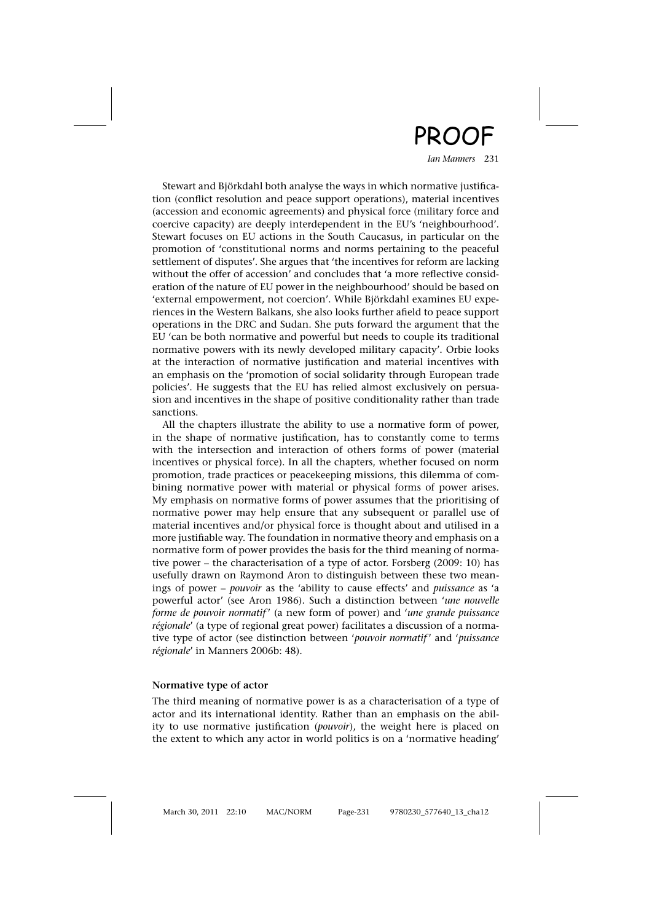*Ian Manners* 231

Stewart and Björkdahl both analyse the ways in which normative justification (conflict resolution and peace support operations), material incentives (accession and economic agreements) and physical force (military force and coercive capacity) are deeply interdependent in the EU's 'neighbourhood'. Stewart focuses on EU actions in the South Caucasus, in particular on the promotion of 'constitutional norms and norms pertaining to the peaceful settlement of disputes'. She argues that 'the incentives for reform are lacking without the offer of accession' and concludes that 'a more reflective consideration of the nature of EU power in the neighbourhood' should be based on 'external empowerment, not coercion'. While Björkdahl examines EU experiences in the Western Balkans, she also looks further afield to peace support operations in the DRC and Sudan. She puts forward the argument that the EU 'can be both normative and powerful but needs to couple its traditional normative powers with its newly developed military capacity'. Orbie looks at the interaction of normative justification and material incentives with an emphasis on the 'promotion of social solidarity through European trade policies'. He suggests that the EU has relied almost exclusively on persuasion and incentives in the shape of positive conditionality rather than trade sanctions.

All the chapters illustrate the ability to use a normative form of power, in the shape of normative justification, has to constantly come to terms with the intersection and interaction of others forms of power (material incentives or physical force). In all the chapters, whether focused on norm promotion, trade practices or peacekeeping missions, this dilemma of combining normative power with material or physical forms of power arises. My emphasis on normative forms of power assumes that the prioritising of normative power may help ensure that any subsequent or parallel use of material incentives and/or physical force is thought about and utilised in a more justifiable way. The foundation in normative theory and emphasis on a normative form of power provides the basis for the third meaning of normative power – the characterisation of a type of actor. Forsberg (2009: 10) has usefully drawn on Raymond Aron to distinguish between these two meanings of power – *pouvoir* as the 'ability to cause effects' and *puissance* as 'a powerful actor' (see Aron 1986). Such a distinction between '*une nouvelle forme de pouvoir normatif* ' (a new form of power) and '*une grande puissance régionale*' (a type of regional great power) facilitates a discussion of a normative type of actor (see distinction between '*pouvoir normatif* ' and '*puissance régionale*' in Manners 2006b: 48).

### **Normative type of actor**

The third meaning of normative power is as a characterisation of a type of actor and its international identity. Rather than an emphasis on the ability to use normative justification (*pouvoir*), the weight here is placed on the extent to which any actor in world politics is on a 'normative heading'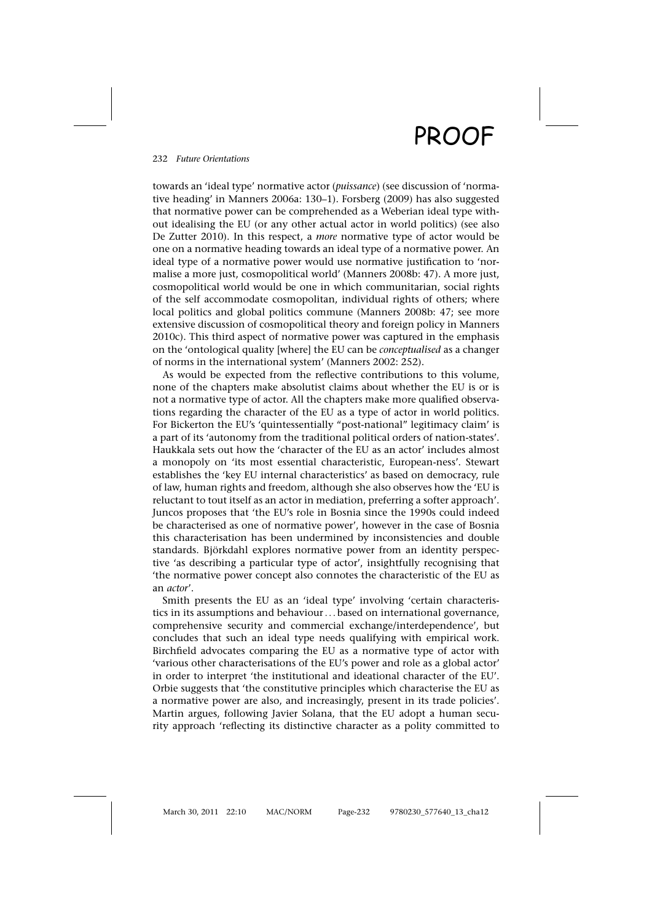#### 232 *Future Orientations*

towards an 'ideal type' normative actor (*puissance*) (see discussion of 'normative heading' in Manners 2006a: 130–1). Forsberg (2009) has also suggested that normative power can be comprehended as a Weberian ideal type without idealising the EU (or any other actual actor in world politics) (see also De Zutter 2010). In this respect, a *more* normative type of actor would be one on a normative heading towards an ideal type of a normative power. An ideal type of a normative power would use normative justification to 'normalise a more just, cosmopolitical world' (Manners 2008b: 47). A more just, cosmopolitical world would be one in which communitarian, social rights of the self accommodate cosmopolitan, individual rights of others; where local politics and global politics commune (Manners 2008b: 47; see more extensive discussion of cosmopolitical theory and foreign policy in Manners 2010c). This third aspect of normative power was captured in the emphasis on the 'ontological quality [where] the EU can be *conceptualised* as a changer of norms in the international system' (Manners 2002: 252).

As would be expected from the reflective contributions to this volume, none of the chapters make absolutist claims about whether the EU is or is not a normative type of actor. All the chapters make more qualified observations regarding the character of the EU as a type of actor in world politics. For Bickerton the EU's 'quintessentially "post-national" legitimacy claim' is a part of its 'autonomy from the traditional political orders of nation-states'. Haukkala sets out how the 'character of the EU as an actor' includes almost a monopoly on 'its most essential characteristic, European-ness'. Stewart establishes the 'key EU internal characteristics' as based on democracy, rule of law, human rights and freedom, although she also observes how the 'EU is reluctant to tout itself as an actor in mediation, preferring a softer approach'. Juncos proposes that 'the EU's role in Bosnia since the 1990s could indeed be characterised as one of normative power', however in the case of Bosnia this characterisation has been undermined by inconsistencies and double standards. Björkdahl explores normative power from an identity perspective 'as describing a particular type of actor', insightfully recognising that 'the normative power concept also connotes the characteristic of the EU as an *actor*'.

Smith presents the EU as an 'ideal type' involving 'certain characteristics in its assumptions and behaviour*...* based on international governance, comprehensive security and commercial exchange/interdependence', but concludes that such an ideal type needs qualifying with empirical work. Birchfield advocates comparing the EU as a normative type of actor with 'various other characterisations of the EU's power and role as a global actor' in order to interpret 'the institutional and ideational character of the EU'. Orbie suggests that 'the constitutive principles which characterise the EU as a normative power are also, and increasingly, present in its trade policies'. Martin argues, following Javier Solana, that the EU adopt a human security approach 'reflecting its distinctive character as a polity committed to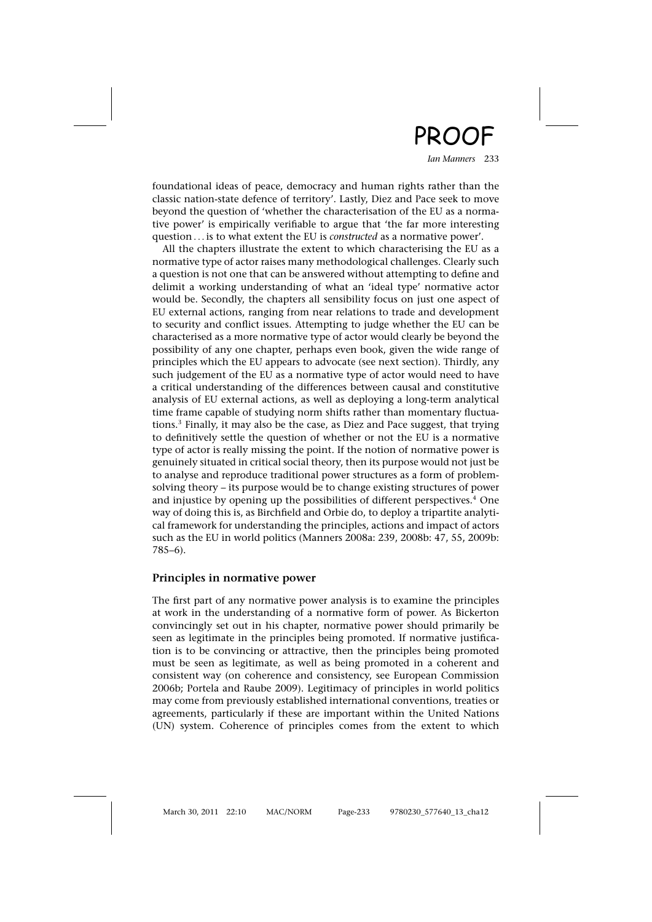*Ian Manners* 233

foundational ideas of peace, democracy and human rights rather than the classic nation-state defence of territory'. Lastly, Diez and Pace seek to move beyond the question of 'whether the characterisation of the EU as a normative power' is empirically verifiable to argue that 'the far more interesting question *...* is to what extent the EU is *constructed* as a normative power'.

All the chapters illustrate the extent to which characterising the EU as a normative type of actor raises many methodological challenges. Clearly such a question is not one that can be answered without attempting to define and delimit a working understanding of what an 'ideal type' normative actor would be. Secondly, the chapters all sensibility focus on just one aspect of EU external actions, ranging from near relations to trade and development to security and conflict issues. Attempting to judge whether the EU can be characterised as a more normative type of actor would clearly be beyond the possibility of any one chapter, perhaps even book, given the wide range of principles which the EU appears to advocate (see next section). Thirdly, any such judgement of the EU as a normative type of actor would need to have a critical understanding of the differences between causal and constitutive analysis of EU external actions, as well as deploying a long-term analytical time frame capable of studying norm shifts rather than momentary fluctuations.3 Finally, it may also be the case, as Diez and Pace suggest, that trying to definitively settle the question of whether or not the EU is a normative type of actor is really missing the point. If the notion of normative power is genuinely situated in critical social theory, then its purpose would not just be to analyse and reproduce traditional power structures as a form of problemsolving theory – its purpose would be to change existing structures of power and injustice by opening up the possibilities of different perspectives.4 One way of doing this is, as Birchfield and Orbie do, to deploy a tripartite analytical framework for understanding the principles, actions and impact of actors such as the EU in world politics (Manners 2008a: 239, 2008b: 47, 55, 2009b: 785–6).

### **Principles in normative power**

The first part of any normative power analysis is to examine the principles at work in the understanding of a normative form of power. As Bickerton convincingly set out in his chapter, normative power should primarily be seen as legitimate in the principles being promoted. If normative justification is to be convincing or attractive, then the principles being promoted must be seen as legitimate, as well as being promoted in a coherent and consistent way (on coherence and consistency, see European Commission 2006b; Portela and Raube 2009). Legitimacy of principles in world politics may come from previously established international conventions, treaties or agreements, particularly if these are important within the United Nations (UN) system. Coherence of principles comes from the extent to which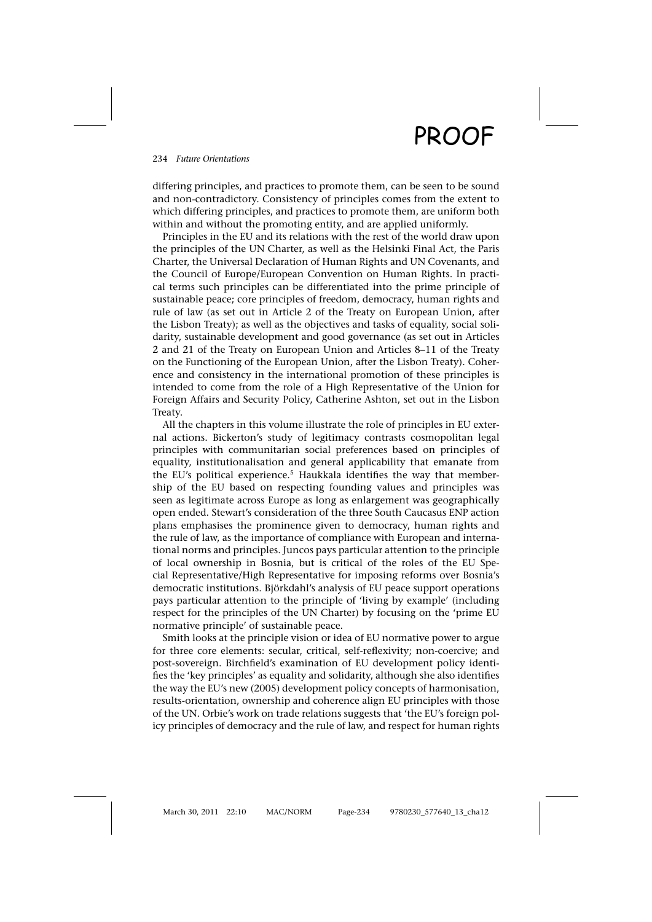#### 234 *Future Orientations*

differing principles, and practices to promote them, can be seen to be sound and non-contradictory. Consistency of principles comes from the extent to which differing principles, and practices to promote them, are uniform both within and without the promoting entity, and are applied uniformly.

Principles in the EU and its relations with the rest of the world draw upon the principles of the UN Charter, as well as the Helsinki Final Act, the Paris Charter, the Universal Declaration of Human Rights and UN Covenants, and the Council of Europe/European Convention on Human Rights. In practical terms such principles can be differentiated into the prime principle of sustainable peace; core principles of freedom, democracy, human rights and rule of law (as set out in Article 2 of the Treaty on European Union, after the Lisbon Treaty); as well as the objectives and tasks of equality, social solidarity, sustainable development and good governance (as set out in Articles 2 and 21 of the Treaty on European Union and Articles 8–11 of the Treaty on the Functioning of the European Union, after the Lisbon Treaty). Coherence and consistency in the international promotion of these principles is intended to come from the role of a High Representative of the Union for Foreign Affairs and Security Policy, Catherine Ashton, set out in the Lisbon Treaty.

All the chapters in this volume illustrate the role of principles in EU external actions. Bickerton's study of legitimacy contrasts cosmopolitan legal principles with communitarian social preferences based on principles of equality, institutionalisation and general applicability that emanate from the EU's political experience.5 Haukkala identifies the way that membership of the EU based on respecting founding values and principles was seen as legitimate across Europe as long as enlargement was geographically open ended. Stewart's consideration of the three South Caucasus ENP action plans emphasises the prominence given to democracy, human rights and the rule of law, as the importance of compliance with European and international norms and principles. Juncos pays particular attention to the principle of local ownership in Bosnia, but is critical of the roles of the EU Special Representative/High Representative for imposing reforms over Bosnia's democratic institutions. Björkdahl's analysis of EU peace support operations pays particular attention to the principle of 'living by example' (including respect for the principles of the UN Charter) by focusing on the 'prime EU normative principle' of sustainable peace.

Smith looks at the principle vision or idea of EU normative power to argue for three core elements: secular, critical, self-reflexivity; non-coercive; and post-sovereign. Birchfield's examination of EU development policy identifies the 'key principles' as equality and solidarity, although she also identifies the way the EU's new (2005) development policy concepts of harmonisation, results-orientation, ownership and coherence align EU principles with those of the UN. Orbie's work on trade relations suggests that 'the EU's foreign policy principles of democracy and the rule of law, and respect for human rights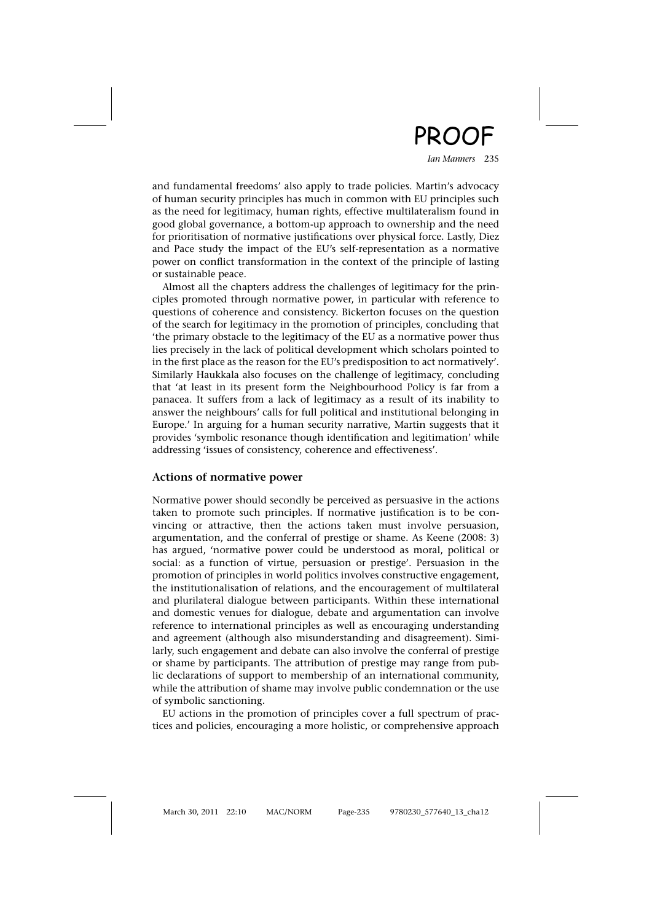*Ian Manners* 235

and fundamental freedoms' also apply to trade policies. Martin's advocacy of human security principles has much in common with EU principles such as the need for legitimacy, human rights, effective multilateralism found in good global governance, a bottom-up approach to ownership and the need for prioritisation of normative justifications over physical force. Lastly, Diez and Pace study the impact of the EU's self-representation as a normative power on conflict transformation in the context of the principle of lasting or sustainable peace.

Almost all the chapters address the challenges of legitimacy for the principles promoted through normative power, in particular with reference to questions of coherence and consistency. Bickerton focuses on the question of the search for legitimacy in the promotion of principles, concluding that 'the primary obstacle to the legitimacy of the EU as a normative power thus lies precisely in the lack of political development which scholars pointed to in the first place as the reason for the EU's predisposition to act normatively'. Similarly Haukkala also focuses on the challenge of legitimacy, concluding that 'at least in its present form the Neighbourhood Policy is far from a panacea. It suffers from a lack of legitimacy as a result of its inability to answer the neighbours' calls for full political and institutional belonging in Europe.' In arguing for a human security narrative, Martin suggests that it provides 'symbolic resonance though identification and legitimation' while addressing 'issues of consistency, coherence and effectiveness'.

## **Actions of normative power**

Normative power should secondly be perceived as persuasive in the actions taken to promote such principles. If normative justification is to be convincing or attractive, then the actions taken must involve persuasion, argumentation, and the conferral of prestige or shame. As Keene (2008: 3) has argued, 'normative power could be understood as moral, political or social: as a function of virtue, persuasion or prestige'. Persuasion in the promotion of principles in world politics involves constructive engagement, the institutionalisation of relations, and the encouragement of multilateral and plurilateral dialogue between participants. Within these international and domestic venues for dialogue, debate and argumentation can involve reference to international principles as well as encouraging understanding and agreement (although also misunderstanding and disagreement). Similarly, such engagement and debate can also involve the conferral of prestige or shame by participants. The attribution of prestige may range from public declarations of support to membership of an international community, while the attribution of shame may involve public condemnation or the use of symbolic sanctioning.

EU actions in the promotion of principles cover a full spectrum of practices and policies, encouraging a more holistic, or comprehensive approach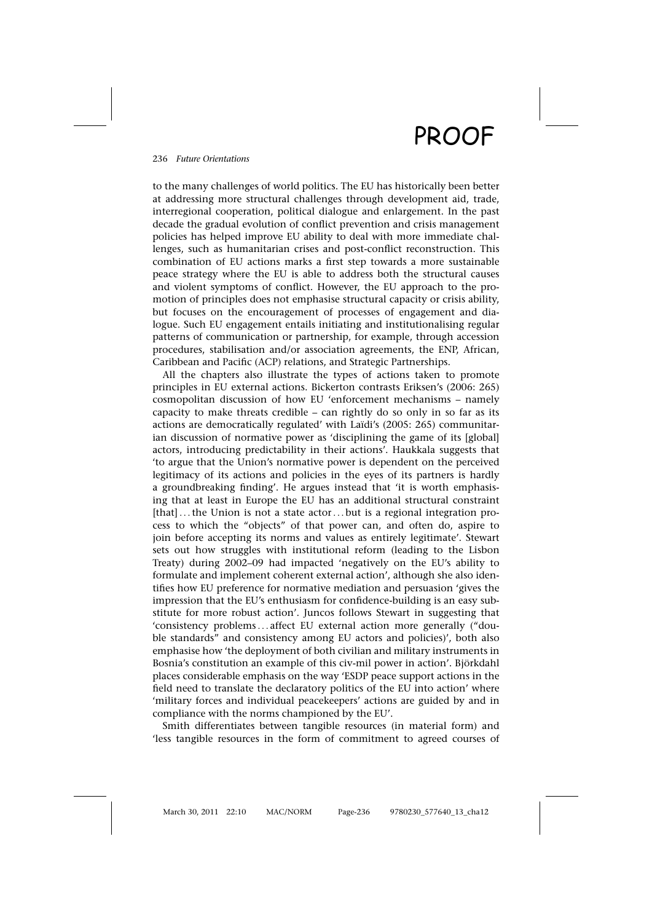#### 236 *Future Orientations*

to the many challenges of world politics. The EU has historically been better at addressing more structural challenges through development aid, trade, interregional cooperation, political dialogue and enlargement. In the past decade the gradual evolution of conflict prevention and crisis management policies has helped improve EU ability to deal with more immediate challenges, such as humanitarian crises and post-conflict reconstruction. This combination of EU actions marks a first step towards a more sustainable peace strategy where the EU is able to address both the structural causes and violent symptoms of conflict. However, the EU approach to the promotion of principles does not emphasise structural capacity or crisis ability, but focuses on the encouragement of processes of engagement and dialogue. Such EU engagement entails initiating and institutionalising regular patterns of communication or partnership, for example, through accession procedures, stabilisation and/or association agreements, the ENP, African, Caribbean and Pacific (ACP) relations, and Strategic Partnerships.

All the chapters also illustrate the types of actions taken to promote principles in EU external actions. Bickerton contrasts Eriksen's (2006: 265) cosmopolitan discussion of how EU 'enforcement mechanisms – namely capacity to make threats credible – can rightly do so only in so far as its actions are democratically regulated' with Laïdi's (2005: 265) communitarian discussion of normative power as 'disciplining the game of its [global] actors, introducing predictability in their actions'. Haukkala suggests that 'to argue that the Union's normative power is dependent on the perceived legitimacy of its actions and policies in the eyes of its partners is hardly a groundbreaking finding'. He argues instead that 'it is worth emphasising that at least in Europe the EU has an additional structural constraint [that]*...*the Union is not a state actor*...* but is a regional integration process to which the "objects" of that power can, and often do, aspire to join before accepting its norms and values as entirely legitimate'. Stewart sets out how struggles with institutional reform (leading to the Lisbon Treaty) during 2002–09 had impacted 'negatively on the EU's ability to formulate and implement coherent external action', although she also identifies how EU preference for normative mediation and persuasion 'gives the impression that the EU's enthusiasm for confidence-building is an easy substitute for more robust action'. Juncos follows Stewart in suggesting that 'consistency problems *...* affect EU external action more generally ("double standards" and consistency among EU actors and policies)', both also emphasise how 'the deployment of both civilian and military instruments in Bosnia's constitution an example of this civ-mil power in action'. Björkdahl places considerable emphasis on the way 'ESDP peace support actions in the field need to translate the declaratory politics of the EU into action' where 'military forces and individual peacekeepers' actions are guided by and in compliance with the norms championed by the EU'.

Smith differentiates between tangible resources (in material form) and 'less tangible resources in the form of commitment to agreed courses of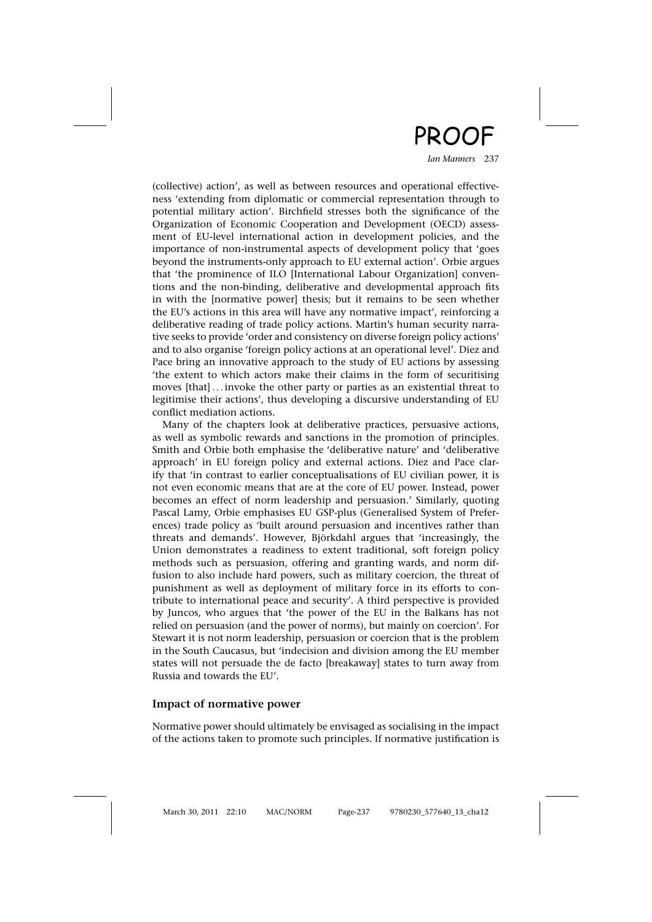*Ian Manners* 237

(collective) action', as well as between resources and operational effectiveness 'extending from diplomatic or commercial representation through to potential military action'. Birchfield stresses both the significance of the Organization of Economic Cooperation and Development (OECD) assessment of EU-level international action in development policies, and the importance of non-instrumental aspects of development policy that 'goes beyond the instruments-only approach to EU external action'. Orbie argues that 'the prominence of ILO [International Labour Organization] conventions and the non-binding, deliberative and developmental approach fits in with the [normative power] thesis; but it remains to be seen whether the EU's actions in this area will have any normative impact', reinforcing a deliberative reading of trade policy actions. Martin's human security narrative seeks to provide 'order and consistency on diverse foreign policy actions' and to also organise 'foreign policy actions at an operational level'. Diez and Pace bring an innovative approach to the study of EU actions by assessing 'the extent to which actors make their claims in the form of securitising moves [that]*...* invoke the other party or parties as an existential threat to legitimise their actions', thus developing a discursive understanding of EU conflict mediation actions.

Many of the chapters look at deliberative practices, persuasive actions, as well as symbolic rewards and sanctions in the promotion of principles. Smith and Orbie both emphasise the 'deliberative nature' and 'deliberative approach' in EU foreign policy and external actions. Diez and Pace clarify that 'in contrast to earlier conceptualisations of EU civilian power, it is not even economic means that are at the core of EU power. Instead, power becomes an effect of norm leadership and persuasion.' Similarly, quoting Pascal Lamy, Orbie emphasises EU GSP-plus (Generalised System of Preferences) trade policy as 'built around persuasion and incentives rather than threats and demands'. However, Björkdahl argues that 'increasingly, the Union demonstrates a readiness to extent traditional, soft foreign policy methods such as persuasion, offering and granting wards, and norm diffusion to also include hard powers, such as military coercion, the threat of punishment as well as deployment of military force in its efforts to contribute to international peace and security'. A third perspective is provided by Juncos, who argues that 'the power of the EU in the Balkans has not relied on persuasion (and the power of norms), but mainly on coercion'. For Stewart it is not norm leadership, persuasion or coercion that is the problem in the South Caucasus, but 'indecision and division among the EU member states will not persuade the de facto [breakaway] states to turn away from Russia and towards the EU'.

### **Impact of normative power**

Normative power should ultimately be envisaged as socialising in the impact of the actions taken to promote such principles. If normative justification is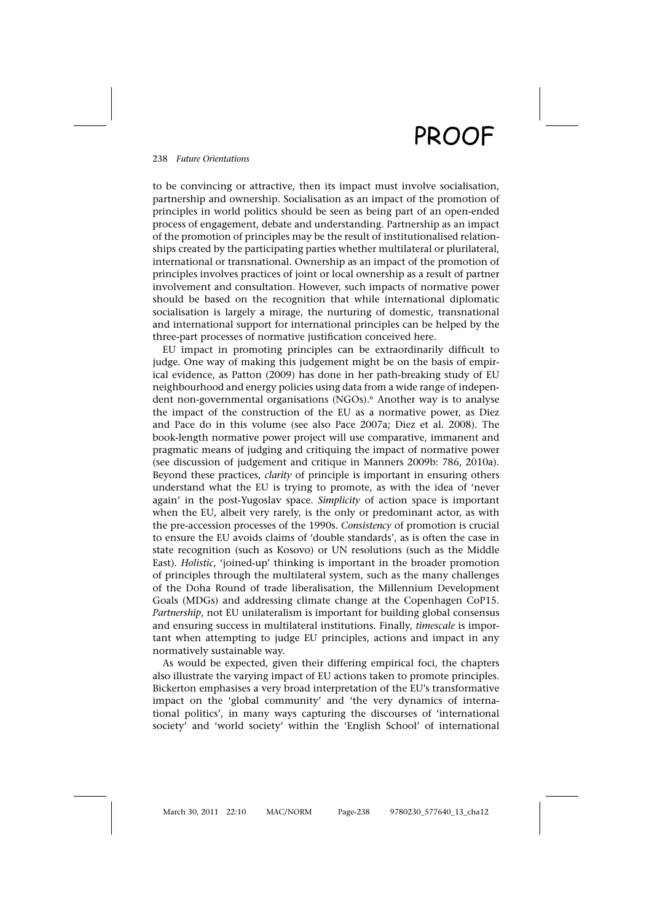#### 238 *Future Orientations*

to be convincing or attractive, then its impact must involve socialisation, partnership and ownership. Socialisation as an impact of the promotion of principles in world politics should be seen as being part of an open-ended process of engagement, debate and understanding. Partnership as an impact of the promotion of principles may be the result of institutionalised relationships created by the participating parties whether multilateral or plurilateral, international or transnational. Ownership as an impact of the promotion of principles involves practices of joint or local ownership as a result of partner involvement and consultation. However, such impacts of normative power should be based on the recognition that while international diplomatic socialisation is largely a mirage, the nurturing of domestic, transnational and international support for international principles can be helped by the three-part processes of normative justification conceived here.

EU impact in promoting principles can be extraordinarily difficult to judge. One way of making this judgement might be on the basis of empirical evidence, as Patton (2009) has done in her path-breaking study of EU neighbourhood and energy policies using data from a wide range of independent non-governmental organisations (NGOs).<sup>6</sup> Another way is to analyse the impact of the construction of the EU as a normative power, as Diez and Pace do in this volume (see also Pace 2007a; Diez et al. 2008). The book-length normative power project will use comparative, immanent and pragmatic means of judging and critiquing the impact of normative power (see discussion of judgement and critique in Manners 2009b: 786, 2010a). Beyond these practices, *clarity* of principle is important in ensuring others understand what the EU is trying to promote, as with the idea of 'never again' in the post-Yugoslav space. *Simplicity* of action space is important when the EU, albeit very rarely, is the only or predominant actor, as with the pre-accession processes of the 1990s. *Consistency* of promotion is crucial to ensure the EU avoids claims of 'double standards', as is often the case in state recognition (such as Kosovo) or UN resolutions (such as the Middle East). *Holistic*, 'joined-up' thinking is important in the broader promotion of principles through the multilateral system, such as the many challenges of the Doha Round of trade liberalisation, the Millennium Development Goals (MDGs) and addressing climate change at the Copenhagen CoP15. *Partnership*, not EU unilateralism is important for building global consensus and ensuring success in multilateral institutions. Finally, *timescale* is important when attempting to judge EU principles, actions and impact in any normatively sustainable way.

As would be expected, given their differing empirical foci, the chapters also illustrate the varying impact of EU actions taken to promote principles. Bickerton emphasises a very broad interpretation of the EU's transformative impact on the 'global community' and 'the very dynamics of international politics', in many ways capturing the discourses of 'international society' and 'world society' within the 'English School' of international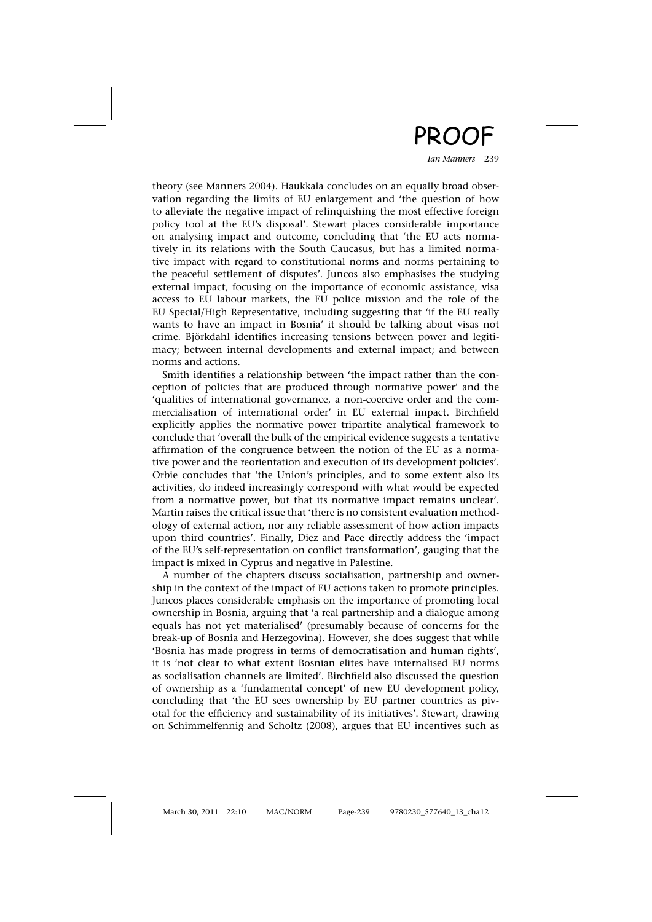*Ian Manners* 239

theory (see Manners 2004). Haukkala concludes on an equally broad observation regarding the limits of EU enlargement and 'the question of how to alleviate the negative impact of relinquishing the most effective foreign policy tool at the EU's disposal'. Stewart places considerable importance on analysing impact and outcome, concluding that 'the EU acts normatively in its relations with the South Caucasus, but has a limited normative impact with regard to constitutional norms and norms pertaining to the peaceful settlement of disputes'. Juncos also emphasises the studying external impact, focusing on the importance of economic assistance, visa access to EU labour markets, the EU police mission and the role of the EU Special/High Representative, including suggesting that 'if the EU really wants to have an impact in Bosnia' it should be talking about visas not crime. Björkdahl identifies increasing tensions between power and legitimacy; between internal developments and external impact; and between norms and actions.

Smith identifies a relationship between 'the impact rather than the conception of policies that are produced through normative power' and the 'qualities of international governance, a non-coercive order and the commercialisation of international order' in EU external impact. Birchfield explicitly applies the normative power tripartite analytical framework to conclude that 'overall the bulk of the empirical evidence suggests a tentative affirmation of the congruence between the notion of the EU as a normative power and the reorientation and execution of its development policies'. Orbie concludes that 'the Union's principles, and to some extent also its activities, do indeed increasingly correspond with what would be expected from a normative power, but that its normative impact remains unclear'. Martin raises the critical issue that 'there is no consistent evaluation methodology of external action, nor any reliable assessment of how action impacts upon third countries'. Finally, Diez and Pace directly address the 'impact of the EU's self-representation on conflict transformation', gauging that the impact is mixed in Cyprus and negative in Palestine.

A number of the chapters discuss socialisation, partnership and ownership in the context of the impact of EU actions taken to promote principles. Juncos places considerable emphasis on the importance of promoting local ownership in Bosnia, arguing that 'a real partnership and a dialogue among equals has not yet materialised' (presumably because of concerns for the break-up of Bosnia and Herzegovina). However, she does suggest that while 'Bosnia has made progress in terms of democratisation and human rights', it is 'not clear to what extent Bosnian elites have internalised EU norms as socialisation channels are limited'. Birchfield also discussed the question of ownership as a 'fundamental concept' of new EU development policy, concluding that 'the EU sees ownership by EU partner countries as pivotal for the efficiency and sustainability of its initiatives'. Stewart, drawing on Schimmelfennig and Scholtz (2008), argues that EU incentives such as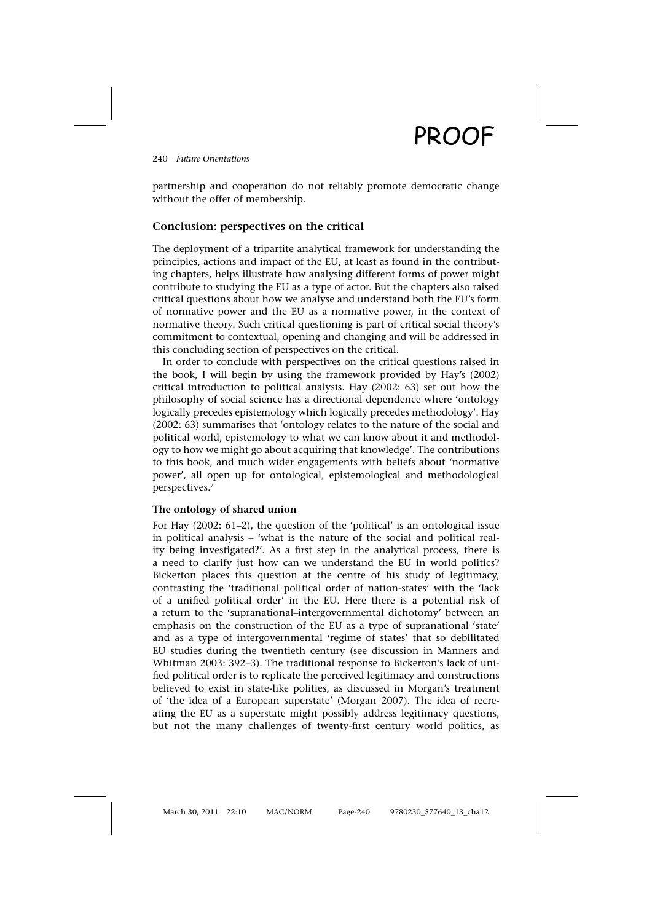#### 240 *Future Orientations*

partnership and cooperation do not reliably promote democratic change without the offer of membership.

### **Conclusion: perspectives on the critical**

The deployment of a tripartite analytical framework for understanding the principles, actions and impact of the EU, at least as found in the contributing chapters, helps illustrate how analysing different forms of power might contribute to studying the EU as a type of actor. But the chapters also raised critical questions about how we analyse and understand both the EU's form of normative power and the EU as a normative power, in the context of normative theory. Such critical questioning is part of critical social theory's commitment to contextual, opening and changing and will be addressed in this concluding section of perspectives on the critical.

In order to conclude with perspectives on the critical questions raised in the book, I will begin by using the framework provided by Hay's (2002) critical introduction to political analysis. Hay (2002: 63) set out how the philosophy of social science has a directional dependence where 'ontology logically precedes epistemology which logically precedes methodology'. Hay (2002: 63) summarises that 'ontology relates to the nature of the social and political world, epistemology to what we can know about it and methodology to how we might go about acquiring that knowledge'. The contributions to this book, and much wider engagements with beliefs about 'normative power', all open up for ontological, epistemological and methodological perspectives.7

### **The ontology of shared union**

For Hay (2002: 61–2), the question of the 'political' is an ontological issue in political analysis – 'what is the nature of the social and political reality being investigated?'. As a first step in the analytical process, there is a need to clarify just how can we understand the EU in world politics? Bickerton places this question at the centre of his study of legitimacy, contrasting the 'traditional political order of nation-states' with the 'lack of a unified political order' in the EU. Here there is a potential risk of a return to the 'supranational–intergovernmental dichotomy' between an emphasis on the construction of the EU as a type of supranational 'state' and as a type of intergovernmental 'regime of states' that so debilitated EU studies during the twentieth century (see discussion in Manners and Whitman 2003: 392–3). The traditional response to Bickerton's lack of unified political order is to replicate the perceived legitimacy and constructions believed to exist in state-like polities, as discussed in Morgan's treatment of 'the idea of a European superstate' (Morgan 2007). The idea of recreating the EU as a superstate might possibly address legitimacy questions, but not the many challenges of twenty-first century world politics, as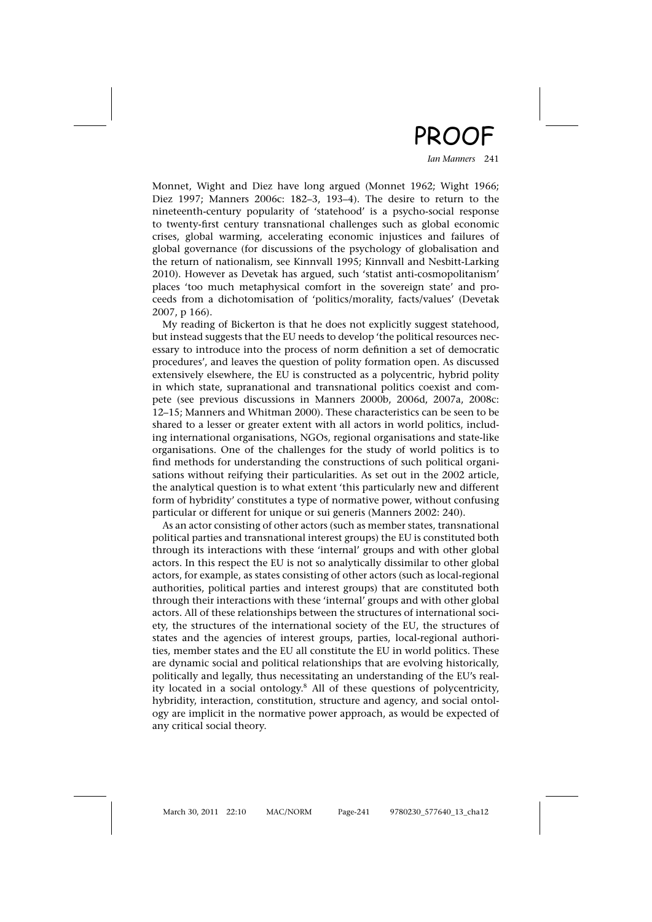*Ian Manners* 241

Monnet, Wight and Diez have long argued (Monnet 1962; Wight 1966; Diez 1997; Manners 2006c: 182–3, 193–4). The desire to return to the nineteenth-century popularity of 'statehood' is a psycho-social response to twenty-first century transnational challenges such as global economic crises, global warming, accelerating economic injustices and failures of global governance (for discussions of the psychology of globalisation and the return of nationalism, see Kinnvall 1995; Kinnvall and Nesbitt-Larking 2010). However as Devetak has argued, such 'statist anti-cosmopolitanism' places 'too much metaphysical comfort in the sovereign state' and proceeds from a dichotomisation of 'politics/morality, facts/values' (Devetak 2007, p 166).

My reading of Bickerton is that he does not explicitly suggest statehood, but instead suggests that the EU needs to develop 'the political resources necessary to introduce into the process of norm definition a set of democratic procedures', and leaves the question of polity formation open. As discussed extensively elsewhere, the EU is constructed as a polycentric, hybrid polity in which state, supranational and transnational politics coexist and compete (see previous discussions in Manners 2000b, 2006d, 2007a, 2008c: 12–15; Manners and Whitman 2000). These characteristics can be seen to be shared to a lesser or greater extent with all actors in world politics, including international organisations, NGOs, regional organisations and state-like organisations. One of the challenges for the study of world politics is to find methods for understanding the constructions of such political organisations without reifying their particularities. As set out in the 2002 article, the analytical question is to what extent 'this particularly new and different form of hybridity' constitutes a type of normative power, without confusing particular or different for unique or sui generis (Manners 2002: 240).

As an actor consisting of other actors (such as member states, transnational political parties and transnational interest groups) the EU is constituted both through its interactions with these 'internal' groups and with other global actors. In this respect the EU is not so analytically dissimilar to other global actors, for example, as states consisting of other actors (such as local-regional authorities, political parties and interest groups) that are constituted both through their interactions with these 'internal' groups and with other global actors. All of these relationships between the structures of international society, the structures of the international society of the EU, the structures of states and the agencies of interest groups, parties, local-regional authorities, member states and the EU all constitute the EU in world politics. These are dynamic social and political relationships that are evolving historically, politically and legally, thus necessitating an understanding of the EU's reality located in a social ontology.8 All of these questions of polycentricity, hybridity, interaction, constitution, structure and agency, and social ontology are implicit in the normative power approach, as would be expected of any critical social theory.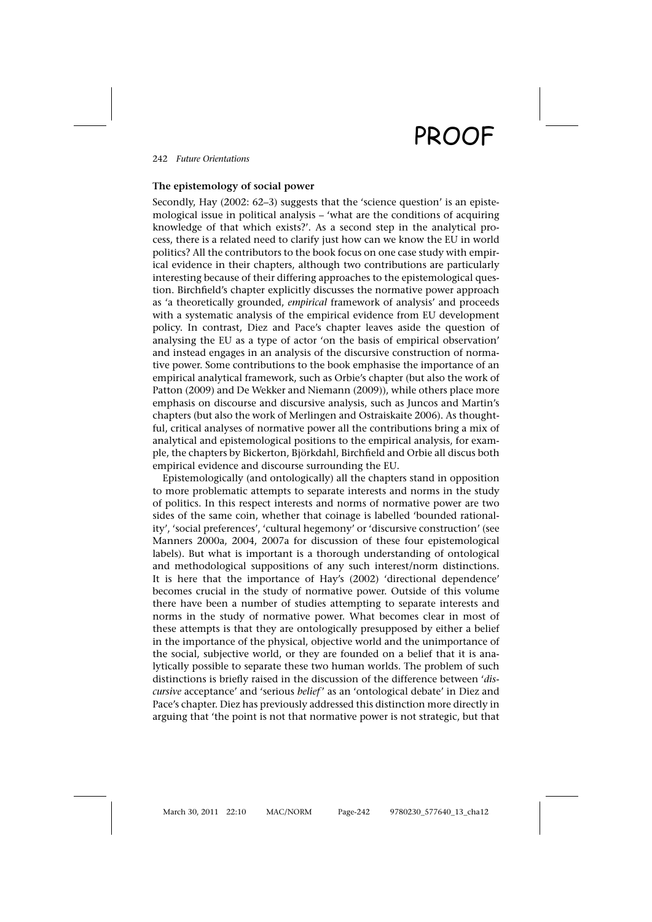242 *Future Orientations*

#### **The epistemology of social power**

Secondly, Hay (2002: 62–3) suggests that the 'science question' is an epistemological issue in political analysis – 'what are the conditions of acquiring knowledge of that which exists?'. As a second step in the analytical process, there is a related need to clarify just how can we know the EU in world politics? All the contributors to the book focus on one case study with empirical evidence in their chapters, although two contributions are particularly interesting because of their differing approaches to the epistemological question. Birchfield's chapter explicitly discusses the normative power approach as 'a theoretically grounded, *empirical* framework of analysis' and proceeds with a systematic analysis of the empirical evidence from EU development policy. In contrast, Diez and Pace's chapter leaves aside the question of analysing the EU as a type of actor 'on the basis of empirical observation' and instead engages in an analysis of the discursive construction of normative power. Some contributions to the book emphasise the importance of an empirical analytical framework, such as Orbie's chapter (but also the work of Patton (2009) and De Wekker and Niemann (2009)), while others place more emphasis on discourse and discursive analysis, such as Juncos and Martin's chapters (but also the work of Merlingen and Ostraiskaite 2006). As thoughtful, critical analyses of normative power all the contributions bring a mix of analytical and epistemological positions to the empirical analysis, for example, the chapters by Bickerton, Björkdahl, Birchfield and Orbie all discus both empirical evidence and discourse surrounding the EU.

Epistemologically (and ontologically) all the chapters stand in opposition to more problematic attempts to separate interests and norms in the study of politics. In this respect interests and norms of normative power are two sides of the same coin, whether that coinage is labelled 'bounded rationality', 'social preferences', 'cultural hegemony' or 'discursive construction' (see Manners 2000a, 2004, 2007a for discussion of these four epistemological labels). But what is important is a thorough understanding of ontological and methodological suppositions of any such interest/norm distinctions. It is here that the importance of Hay's (2002) 'directional dependence' becomes crucial in the study of normative power. Outside of this volume there have been a number of studies attempting to separate interests and norms in the study of normative power. What becomes clear in most of these attempts is that they are ontologically presupposed by either a belief in the importance of the physical, objective world and the unimportance of the social, subjective world, or they are founded on a belief that it is analytically possible to separate these two human worlds. The problem of such distinctions is briefly raised in the discussion of the difference between '*discursive* acceptance' and 'serious *belief* ' as an 'ontological debate' in Diez and Pace's chapter. Diez has previously addressed this distinction more directly in arguing that 'the point is not that normative power is not strategic, but that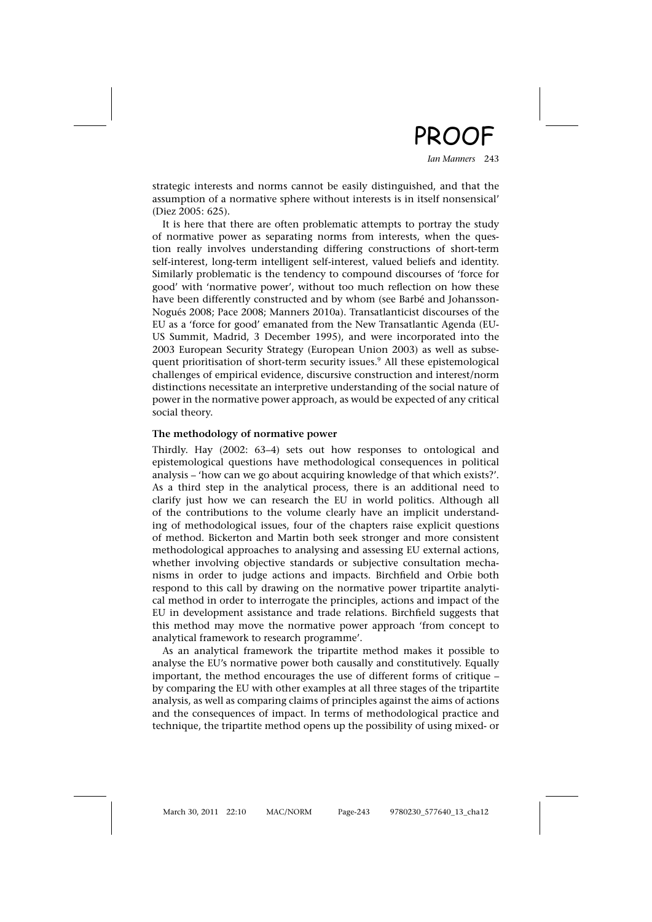*Ian Manners* 243

strategic interests and norms cannot be easily distinguished, and that the assumption of a normative sphere without interests is in itself nonsensical' (Diez 2005: 625).

It is here that there are often problematic attempts to portray the study of normative power as separating norms from interests, when the question really involves understanding differing constructions of short-term self-interest, long-term intelligent self-interest, valued beliefs and identity. Similarly problematic is the tendency to compound discourses of 'force for good' with 'normative power', without too much reflection on how these have been differently constructed and by whom (see Barbé and Johansson-Nogués 2008; Pace 2008; Manners 2010a). Transatlanticist discourses of the EU as a 'force for good' emanated from the New Transatlantic Agenda (EU-US Summit, Madrid, 3 December 1995), and were incorporated into the 2003 European Security Strategy (European Union 2003) as well as subsequent prioritisation of short-term security issues.<sup>9</sup> All these epistemological challenges of empirical evidence, discursive construction and interest/norm distinctions necessitate an interpretive understanding of the social nature of power in the normative power approach, as would be expected of any critical social theory.

### **The methodology of normative power**

Thirdly. Hay (2002: 63–4) sets out how responses to ontological and epistemological questions have methodological consequences in political analysis – 'how can we go about acquiring knowledge of that which exists?'. As a third step in the analytical process, there is an additional need to clarify just how we can research the EU in world politics. Although all of the contributions to the volume clearly have an implicit understanding of methodological issues, four of the chapters raise explicit questions of method. Bickerton and Martin both seek stronger and more consistent methodological approaches to analysing and assessing EU external actions, whether involving objective standards or subjective consultation mechanisms in order to judge actions and impacts. Birchfield and Orbie both respond to this call by drawing on the normative power tripartite analytical method in order to interrogate the principles, actions and impact of the EU in development assistance and trade relations. Birchfield suggests that this method may move the normative power approach 'from concept to analytical framework to research programme'.

As an analytical framework the tripartite method makes it possible to analyse the EU's normative power both causally and constitutively. Equally important, the method encourages the use of different forms of critique – by comparing the EU with other examples at all three stages of the tripartite analysis, as well as comparing claims of principles against the aims of actions and the consequences of impact. In terms of methodological practice and technique, the tripartite method opens up the possibility of using mixed- or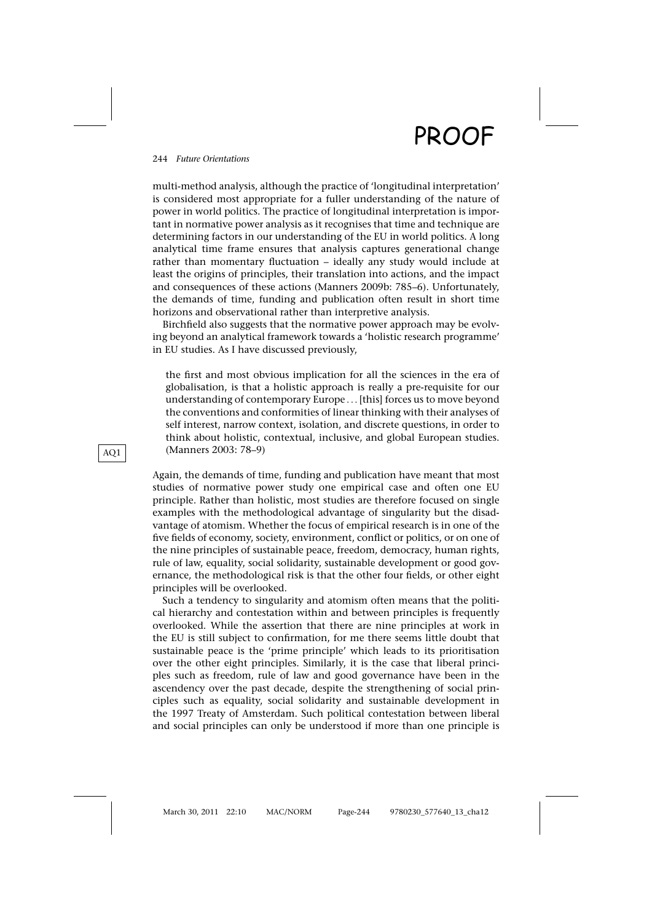#### 244 *Future Orientations*

multi-method analysis, although the practice of 'longitudinal interpretation' is considered most appropriate for a fuller understanding of the nature of power in world politics. The practice of longitudinal interpretation is important in normative power analysis as it recognises that time and technique are determining factors in our understanding of the EU in world politics. A long analytical time frame ensures that analysis captures generational change rather than momentary fluctuation – ideally any study would include at least the origins of principles, their translation into actions, and the impact and consequences of these actions (Manners 2009b: 785–6). Unfortunately, the demands of time, funding and publication often result in short time horizons and observational rather than interpretive analysis.

Birchfield also suggests that the normative power approach may be evolving beyond an analytical framework towards a 'holistic research programme' in EU studies. As I have discussed previously,

the first and most obvious implication for all the sciences in the era of globalisation, is that a holistic approach is really a pre-requisite for our understanding of contemporary Europe *...* [this] forces us to move beyond the conventions and conformities of linear thinking with their analyses of self interest, narrow context, isolation, and discrete questions, in order to think about holistic, contextual, inclusive, and global European studies. AQ1 (Manners 2003: 78–9)

> Again, the demands of time, funding and publication have meant that most studies of normative power study one empirical case and often one EU principle. Rather than holistic, most studies are therefore focused on single examples with the methodological advantage of singularity but the disadvantage of atomism. Whether the focus of empirical research is in one of the five fields of economy, society, environment, conflict or politics, or on one of the nine principles of sustainable peace, freedom, democracy, human rights, rule of law, equality, social solidarity, sustainable development or good governance, the methodological risk is that the other four fields, or other eight principles will be overlooked.

> Such a tendency to singularity and atomism often means that the political hierarchy and contestation within and between principles is frequently overlooked. While the assertion that there are nine principles at work in the EU is still subject to confirmation, for me there seems little doubt that sustainable peace is the 'prime principle' which leads to its prioritisation over the other eight principles. Similarly, it is the case that liberal principles such as freedom, rule of law and good governance have been in the ascendency over the past decade, despite the strengthening of social principles such as equality, social solidarity and sustainable development in the 1997 Treaty of Amsterdam. Such political contestation between liberal and social principles can only be understood if more than one principle is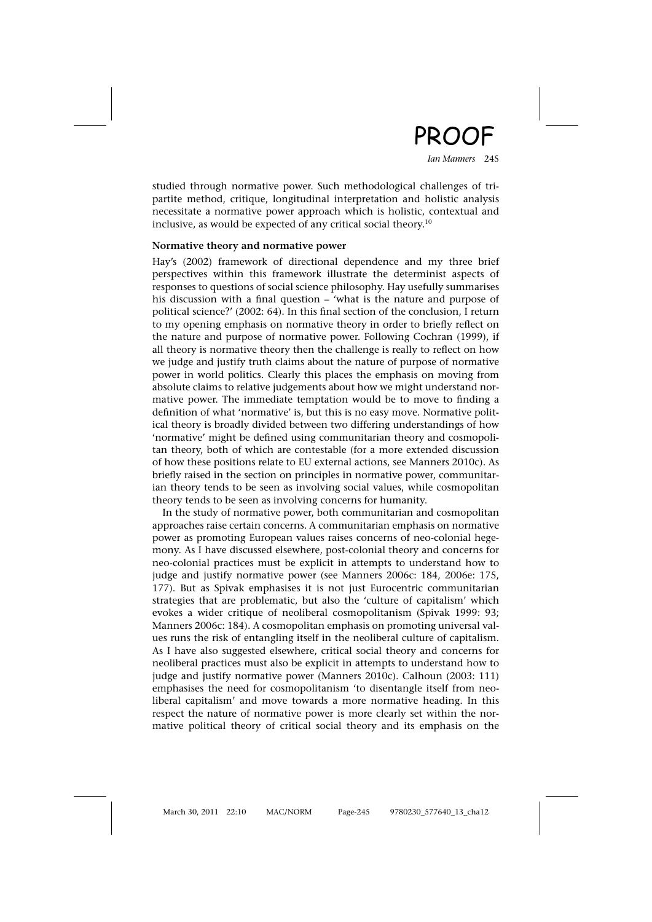*Ian Manners* 245

studied through normative power. Such methodological challenges of tripartite method, critique, longitudinal interpretation and holistic analysis necessitate a normative power approach which is holistic, contextual and inclusive, as would be expected of any critical social theory.10

### **Normative theory and normative power**

Hay's (2002) framework of directional dependence and my three brief perspectives within this framework illustrate the determinist aspects of responses to questions of social science philosophy. Hay usefully summarises his discussion with a final question – 'what is the nature and purpose of political science?' (2002: 64). In this final section of the conclusion, I return to my opening emphasis on normative theory in order to briefly reflect on the nature and purpose of normative power. Following Cochran (1999), if all theory is normative theory then the challenge is really to reflect on how we judge and justify truth claims about the nature of purpose of normative power in world politics. Clearly this places the emphasis on moving from absolute claims to relative judgements about how we might understand normative power. The immediate temptation would be to move to finding a definition of what 'normative' is, but this is no easy move. Normative political theory is broadly divided between two differing understandings of how 'normative' might be defined using communitarian theory and cosmopolitan theory, both of which are contestable (for a more extended discussion of how these positions relate to EU external actions, see Manners 2010c). As briefly raised in the section on principles in normative power, communitarian theory tends to be seen as involving social values, while cosmopolitan theory tends to be seen as involving concerns for humanity.

In the study of normative power, both communitarian and cosmopolitan approaches raise certain concerns. A communitarian emphasis on normative power as promoting European values raises concerns of neo-colonial hegemony. As I have discussed elsewhere, post-colonial theory and concerns for neo-colonial practices must be explicit in attempts to understand how to judge and justify normative power (see Manners 2006c: 184, 2006e: 175, 177). But as Spivak emphasises it is not just Eurocentric communitarian strategies that are problematic, but also the 'culture of capitalism' which evokes a wider critique of neoliberal cosmopolitanism (Spivak 1999: 93; Manners 2006c: 184). A cosmopolitan emphasis on promoting universal values runs the risk of entangling itself in the neoliberal culture of capitalism. As I have also suggested elsewhere, critical social theory and concerns for neoliberal practices must also be explicit in attempts to understand how to judge and justify normative power (Manners 2010c). Calhoun (2003: 111) emphasises the need for cosmopolitanism 'to disentangle itself from neoliberal capitalism' and move towards a more normative heading. In this respect the nature of normative power is more clearly set within the normative political theory of critical social theory and its emphasis on the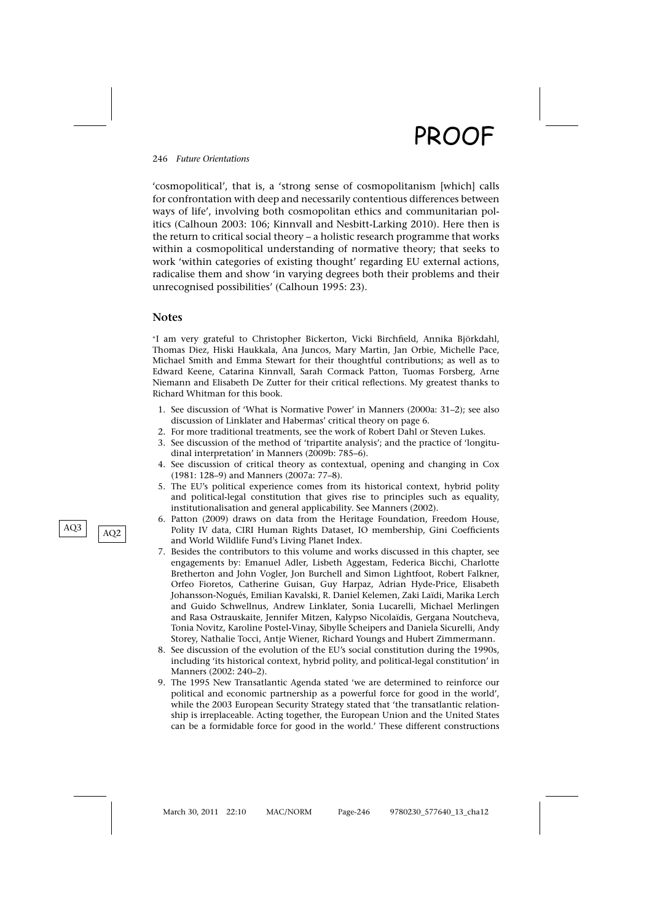#### 246 *Future Orientations*

'cosmopolitical', that is, a 'strong sense of cosmopolitanism [which] calls for confrontation with deep and necessarily contentious differences between ways of life', involving both cosmopolitan ethics and communitarian politics (Calhoun 2003: 106; Kinnvall and Nesbitt-Larking 2010). Here then is the return to critical social theory – a holistic research programme that works within a cosmopolitical understanding of normative theory; that seeks to work 'within categories of existing thought' regarding EU external actions, radicalise them and show 'in varying degrees both their problems and their unrecognised possibilities' (Calhoun 1995: 23).

## **Notes**

<sup>∗</sup>I am very grateful to Christopher Bickerton, Vicki Birchfield, Annika Björkdahl, Thomas Diez, Hiski Haukkala, Ana Juncos, Mary Martin, Jan Orbie, Michelle Pace, Michael Smith and Emma Stewart for their thoughtful contributions; as well as to Edward Keene, Catarina Kinnvall, Sarah Cormack Patton, Tuomas Forsberg, Arne Niemann and Elisabeth De Zutter for their critical reflections. My greatest thanks to Richard Whitman for this book.

- 1. See discussion of 'What is Normative Power' in Manners (2000a: 31–2); see also discussion of Linklater and Habermas' critical theory on page 6.
- 2. For more traditional treatments, see the work of Robert Dahl or Steven Lukes.
- 3. See discussion of the method of 'tripartite analysis'; and the practice of 'longitudinal interpretation' in Manners (2009b: 785–6).
- 4. See discussion of critical theory as contextual, opening and changing in Cox (1981: 128–9) and Manners (2007a: 77–8).
- 5. The EU's political experience comes from its historical context, hybrid polity and political-legal constitution that gives rise to principles such as equality, institutionalisation and general applicability. See Manners (2002).
- 6. Patton (2009) draws on data from the Heritage Foundation, Freedom House, Polity IV data, CIRI Human Rights Dataset, IO membership, Gini Coefficients and World Wildlife Fund's Living Planet Index.
	- 7. Besides the contributors to this volume and works discussed in this chapter, see engagements by: Emanuel Adler, Lisbeth Aggestam, Federica Bicchi, Charlotte Bretherton and John Vogler, Jon Burchell and Simon Lightfoot, Robert Falkner, Orfeo Fioretos, Catherine Guisan, Guy Harpaz, Adrian Hyde-Price, Elisabeth Johansson-Nogués, Emilian Kavalski, R. Daniel Kelemen, Zaki Laïdi, Marika Lerch and Guido Schwellnus, Andrew Linklater, Sonia Lucarelli, Michael Merlingen and Rasa Ostrauskaite, Jennifer Mitzen, Kalypso Nicolaïdis, Gergana Noutcheva, Tonia Novitz, Karoline Postel-Vinay, Sibylle Scheipers and Daniela Sicurelli, Andy Storey, Nathalie Tocci, Antje Wiener, Richard Youngs and Hubert Zimmermann.
	- 8. See discussion of the evolution of the EU's social constitution during the 1990s, including 'its historical context, hybrid polity, and political-legal constitution' in Manners (2002: 240–2).
	- 9. The 1995 New Transatlantic Agenda stated 'we are determined to reinforce our political and economic partnership as a powerful force for good in the world', while the 2003 European Security Strategy stated that 'the transatlantic relationship is irreplaceable. Acting together, the European Union and the United States can be a formidable force for good in the world.' These different constructions

AQ3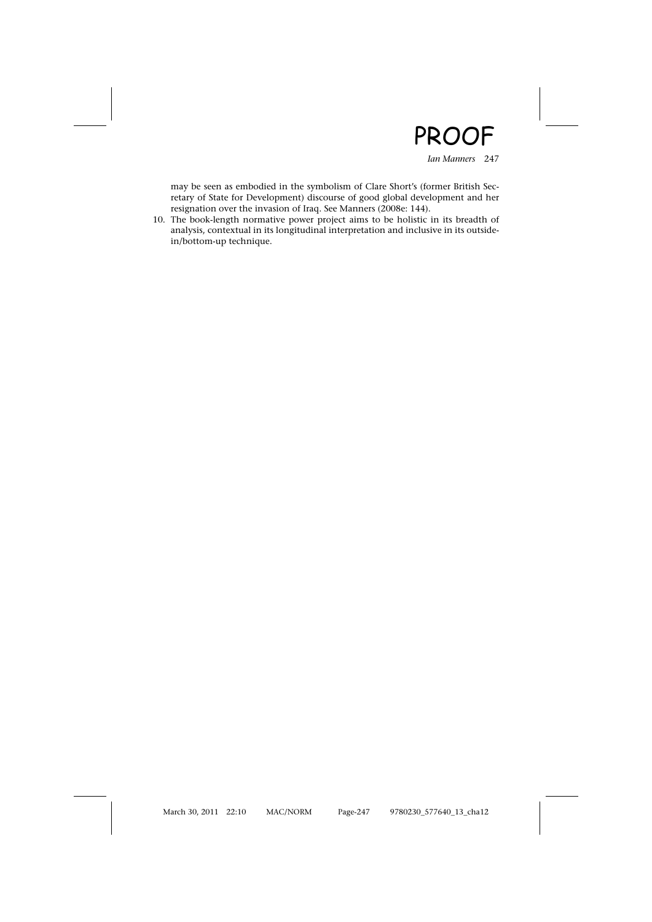# PR<sub>C</sub>

*Ian Manners* 247

may be seen as embodied in the symbolism of Clare Short's (former British Secretary of State for Development) discourse of good global development and her resignation over the invasion of Iraq. See Manners (2008e: 144).

10. The book-length normative power project aims to be holistic in its breadth of analysis, contextual in its longitudinal interpretation and inclusive in its outsidein/bottom-up technique.